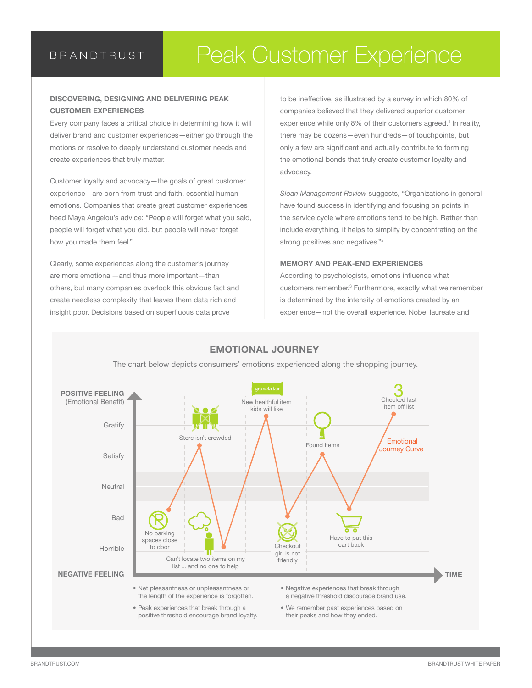### **BRANDTRUST**

# Peak Customer Experience Peak Customer Experience

#### **DISCOVERING, DESIGNING AND DELIVERING PEAK CUSTOMER EXPERIENCES**

Every company faces a critical choice in determining how it will deliver brand and customer experiences—either go through the motions or resolve to deeply understand customer needs and create experiences that truly matter.

Customer loyalty and advocacy—the goals of great customer experience—are born from trust and faith, essential human emotions. Companies that create great customer experiences heed Maya Angelou's advice: "People will forget what you said, people will forget what you did, but people will never forget how you made them feel."

Clearly, some experiences along the customer's journey are more emotional—and thus more important—than others, but many companies overlook this obvious fact and create needless complexity that leaves them data rich and insight poor. Decisions based on superfluous data prove

to be ineffective, as illustrated by a survey in which 80% of companies believed that they delivered superior customer experience while only 8% of their customers agreed.<sup>1</sup> In reality, there may be dozens—even hundreds—of touchpoints, but only a few are significant and actually contribute to forming the emotional bonds that truly create customer loyalty and advocacy.

*Sloan Management Review* suggests, "Organizations in general have found success in identifying and focusing on points in the service cycle where emotions tend to be high. Rather than include everything, it helps to simplify by concentrating on the strong positives and negatives."<sup>2</sup>

#### **MEMORY AND PEAK-END EXPERIENCES**

According to psychologists, emotions influence what customers remember.<sup>3</sup> Furthermore, exactly what we remember is determined by the intensity of emotions created by an experience—not the overall experience. Nobel laureate and

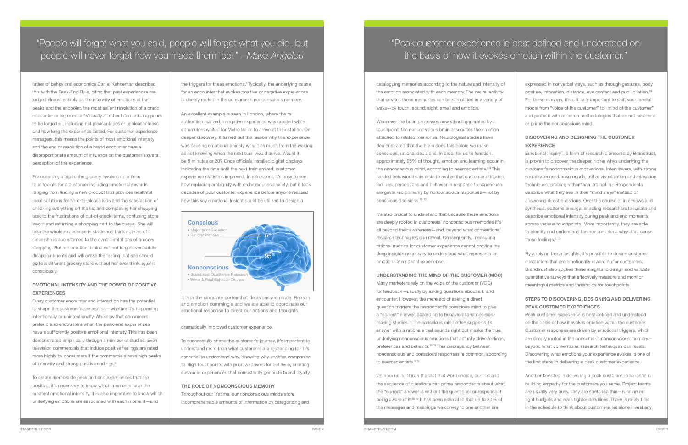father of behavioral economics Daniel Kahneman described this with the Peak-End Rule, citing that past experiences are judged almost entirely on the intensity of emotions at their peaks and the endpoint, the most salient resolution of a brand encounter or experience.<sup>4</sup> Virtually all other information appears to be forgotten, including net pleasantness or unpleasantness and how long the experience lasted. For customer experience managers, this means the points of most emotional intensity and the end or resolution of a brand encounter have a disproportionate amount of influence on the customer's overall perception of the experience.

Every customer encounter and interaction has the potential to shape the customer's perception—whether it's happening intentionally or unintentionally. We know that consumers prefer brand encounters when the peak-end experiences have a sufficiently positive emotional intensity. This has been demonstrated empirically through a number of studies. Even television commercials that induce positive feelings are rated more highly by consumers if the commercials have high peaks of intensity and strong positive endings.<sup>5</sup>

For example, a trip to the grocery involves countless touchpoints for a customer including emotional rewards ranging from finding a new product that provides healthful meal solutions for hard-to-please kids and the satisfaction of checking everything off the list and completing her shopping task to the frustrations of out-of-stock items, confusing store layout and returning a shopping cart to the queue. She will take the whole experience in stride and think nothing of it since she is accustomed to the overall irritations of grocery shopping. But her emotional mind will not forget even subtle disappointments and will evoke the feeling that she should go to a different grocery store without her ever thinking of it consciously.

the triggers for these emotions.<sup>6</sup> Typically, the underlying cause for an encounter that evokes positive or negative experiences is deeply rooted in the consumer's nonconscious memory.

### **EMOTIONAL INTENSITY AND THE POWER OF POSITIVE EXPERIENCES**

To create memorable peak and end experiences that are positive, it's necessary to know which moments have the greatest emotional intensity. It is also imperative to know which underlying emotions are associated with each moment—and

Many marketers rely on the voice of the customer (VOC) for feedback—usually by asking questions about a brand encounter. However, the mere act of asking a direct question triggers the respondent's conscious mind to give a "correct" answer, according to behavioral and decisionmaking studies.14 The conscious mind often supports its answer with a rationale that sounds right but masks the true, underlying nonconscious emotions that actually drive feelings, preferences and behavior.<sup>15,16</sup> This discrepancy between nonconscious and conscious responses is common, according to neuroscientists.<sup>9,15</sup>

An excellent example is seen in London, where the rail authorities realized a negative experience was created while commuters waited for Metro trains to arrive at their station. On deeper discovery, it turned out the reason why this experience was causing emotional anxiety wasn't as much from the waiting as not knowing when the next train would arrive. Would it be 5 minutes or 20? Once officials installed digital displays indicating the time until the next train arrived, customer experience statistics improved. In retrospect, it's easy to see how replacing ambiguity with order reduces anxiety, but it took decades of poor customer experience before anyone realized how this key emotional insight could be utilized to design a

dramatically improved customer experience.

To successfully shape the customer's journey, it's important to understand more than what customers are responding to.<sup>7</sup> It's essential to understand why. Knowing why enables companies to align touchpoints with positive drivers for behavior, creating customer experiences that consistently generate brand loyalty.

#### **THE ROLE OF NONCONSCIOUS MEMORY**

Throughout our lifetime, our nonconscious minds store incomprehensible amounts of information by categorizing and

"People will forget what you said, people will forget what you did, but people will never forget how you made them feel." *–Maya Angelou*

> It is in the cingulate cortex that decisions are made. Reason and emotion commingle and we are able to coordinate our emotional response to direct our actions and thoughts.



cataloguing memories according to the nature and intensity of the emotion associated with each memory. The neural activity that creates these memories can be stimulated in a variety of ways—by touch, sound, sight, smell and emotion.

Whenever the brain processes new stimuli generated by a touchpoint, the nonconscious brain associates the emotion attached to related memories. Neurological studies have demonstrated that the brain does this before we make conscious, rational decisions. In order for us to function, approximately 95% of thought, emotion and learning occur in the nonconscious mind, according to neuroscientists.<sup>8,9</sup> This has led behavioral scientists to realize that customer attitudes, feelings, perceptions and behavior in response to experience are governed primarily by nonconscious responses—not by conscious decisions.10-13

It's also critical to understand that because these emotions are deeply rooted in customers' nonconscious memories it's all beyond their awareness—and, beyond what conventional research techniques can reveal. Consequently, measuring rational metrics for customer experience cannot provide the deep insights necessary to understand what represents an emotionally resonant experience.

#### **UNDERSTANDING THE MIND OF THE CUSTOMER (MOC)**

Compounding this is the fact that word choice, context and the sequence of questions can prime respondents about what the "correct" answer is without the questioner or respondent being aware of it.16-19 It has been estimated that up to 80% of the messages and meanings we convey to one another are

expressed in nonverbal ways, such as through gestures, body posture, intonation, distance, eye contact and pupil dilation.19 For these reasons, it's critically important to shift your mental model from "voice of the customer" to "mind of the customer" and probe it with research methodologies that do not misdirect or prime the nonconscious mind.

### **DISCOVERING AND DESIGNING THE CUSTOMER EXPERIENCE**

Emotional Inquiry®, a form of research pioneered by Brandtrust, is proven to discover the deeper, richer whys underlying the customer's nonconscious motivations. Interviewers, with strong social sciences backgrounds, utilize visualization and relaxation techniques, probing rather than prompting. Respondents describe what they see in their "mind's eye" instead of answering direct questions. Over the course of interviews and synthesis, patterns emerge, enabling researchers to isolate and describe emotional intensity during peak and end moments across various touchpoints. More importantly, they are able to identify and understand the nonconscious whys that cause these feelings.<sup>8,19</sup>

By applying these insights, it's possible to design customer encounters that are emotionally rewarding for customers. Brandtrust also applies these insights to design and validate quantitative surveys that effectively measure and monitor meaningful metrics and thresholds for touchpoints.

#### **STEPS TO DISCOVERING, DESIGNING AND DELIVERING PEAK CUSTOMER EXPERIENCES**

Peak customer experience is best defined and understood on the basis of how it evokes emotion within the customer. Customer responses are driven by emotional triggers, which are deeply rooted in the consumer's nonconscious memory beyond what conventional research techniques can reveal. Discovering what emotions your experience evokes is one of the first steps in delivering a peak customer experience.

Another key step in delivering a peak customer experience is building empathy for the customers you serve. Project teams are usually very busy. They are stretched thin—running on tight budgets and even tighter deadlines. There is rarely time in the schedule to think about customers, let alone invest any

## "Peak customer experience is best defined and understood on the basis of how it evokes emotion within the customer."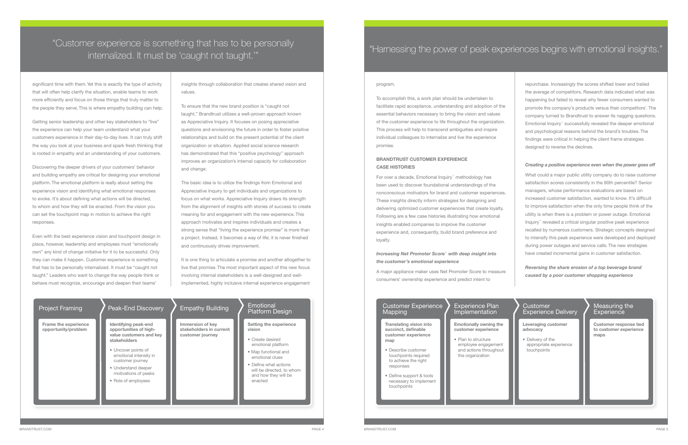significant time with them. Yet this is exactly the type of activity that will often help clarify the situation, enable teams to work more efficiently and focus on those things that truly matter to the people they serve. This is where empathy building can help.

Getting senior leadership and other key stakeholders to "live" the experience can help your team understand what your customers experience in their day-to-day lives. It can truly shift the way you look at your business and spark fresh thinking that is rooted in empathy and an understanding of your customers.

Discovering the deeper drivers of your customers' behavior and building empathy are critical for designing your emotional platform. The emotional platform is really about setting the experience vision and identifying what emotional responses to evoke. It's about defining what actions will be directed, to whom and how they will be enacted. From the vision you can set the touchpoint map in motion to achieve the right responses.

Even with the best experience vision and touchpoint design in place, however, leadership and employees must "emotionally own" any kind of change initiative for it to be successful. Only they can make it happen. Customer experience is something that has to be personally internalized. It must be "caught not taught." Leaders who want to change the way people think or behave must recognize, encourage and deepen their teams'

insights through collaboration that creates shared vision and values.

#### Measuring the **Experience**

To ensure that the new brand position is "caught not taught," Brandtrust utilizes a well-proven approach known as Appreciative Inquiry. It focuses on posing appreciative questions and envisioning the future in order to foster positive relationships and build on the present potential of the client organization or situation. Applied social science research has demonstrated that this "positive psychology" approach improves an organization's internal capacity for collaboration and change.

> For over a decade, Emotional Inquiry® methodology has been used to discover foundational understandings of the nonconscious motivators for brand and customer experiences. These insights directly inform strategies for designing and delivering optimized customer experiences that create loyalty. Following are a few case histories illustrating how emotional insights enabled companies to improve the customer experience and, consequently, build brand preference and loyalty.

The basic idea is to utilize the findings from Emotional and Appreciative Inquiry to get individuals and organizations to focus on what works. Appreciative Inquiry draws its strength from the alignment of insights with stories of success to create meaning for and engagement with the new experience. This approach motivates and inspires individuals and creates a strong sense that "living the experience promise" is more than a project. Instead, it becomes a way of life; it is never finished and continuously drives improvement.

It is one thing to articulate a promise and another altogether to live that promise. The most important aspect of this new focus involving internal stakeholders is a well-designed and wellimplemented, highly inclusive internal experience engagement

> **Leveraging customer advocacy**

• Delivery of the appropriate experience touchpoints

**Emotionally owning the customer experience Translating vision into** 

**Customer response tied to customer experience maps**

- Plan to structure employee engagement and actions throughout the organization
- Define support & tools necessary to implement touchpoints
- 
- 

#### Experience Plan Implementation

#### Customer Experience Delivery

**succinct, definable customer experience** 

**map**

• Describe customer touchpoints required to achieve the right responses

#### Customer Experience Mapping

#### program.

To accomplish this, a work plan should be undertaken to facilitate rapid acceptance, understanding and adoption of the essential behaviors necessary to bring the vision and values of the customer experience to life throughout the organization. This process will help to transcend ambiguities and inspire individual colleagues to internalize and live the experience promise.

#### **BRANDTRUST CUSTOMER EXPERIENCE CASE HISTORIES**

#### *Increasing Net Promoter Score® with deep insight into the customer's emotional experience*

A major appliance maker uses Net Promoter Score to measure consumers' ownership experience and predict intent to

repurchase. Increasingly the scores shifted lower and trailed the average of competitors. Research data indicated what was happening but failed to reveal why fewer consumers wanted to promote the company's products versus their competitors'. The company turned to Brandtrust to answer its nagging questions. Emotional Inquiry® successfully revealed the deeper emotional and psychological reasons behind the brand's troubles. The findings were critical in helping the client frame strategies designed to reverse the declines.

#### *Creating a positive experience even when the power goes off*

What could a major public utility company do to raise customer satisfaction scores consistently in the 90th percentile? Senior managers, whose performance evaluations are based on increased customer satisfaction, wanted to know. It's difficult to improve satisfaction when the only time people think of the utility is when there is a problem or power outage. Emotional Inquiry® revealed a critical singular positive peak experience recalled by numerous customers. Strategic concepts designed to intensify this peak experience were developed and deployed during power outages and service calls. The new strategies have created incremental gains in customer satisfaction.

*Reversing the share erosion of a top beverage brand caused by a poor customer shopping experience*

| <b>Project Framing</b>                      | <b>Peak-End Discovery</b>                                                                                                                                                                                                            | <b>Empathy Building</b>                                         | Emotional<br>Platform Design                                                                                                                                                                                   |
|---------------------------------------------|--------------------------------------------------------------------------------------------------------------------------------------------------------------------------------------------------------------------------------------|-----------------------------------------------------------------|----------------------------------------------------------------------------------------------------------------------------------------------------------------------------------------------------------------|
| Frame the experience<br>opportunity/problem | Identifying peak-end<br>opportunities of high-<br>value customers and key<br>stakeholders<br>• Uncover points of<br>emotional intensity in<br>customer journey<br>• Understand deeper<br>motivations of peaks<br>• Role of employees | Immersion of key<br>stakeholders in current<br>customer journey | Setting the experience<br>vision<br>• Create desired<br>emotional platform<br>• Map functional and<br>emotional clues<br>• Define what actions<br>will be directed, to whom<br>and how they will be<br>enacted |

### "Customer experience is something that has to be personally internalized. It must be 'caught not taught.'" "Harnessing the power of peak experiences begins with emotional insights."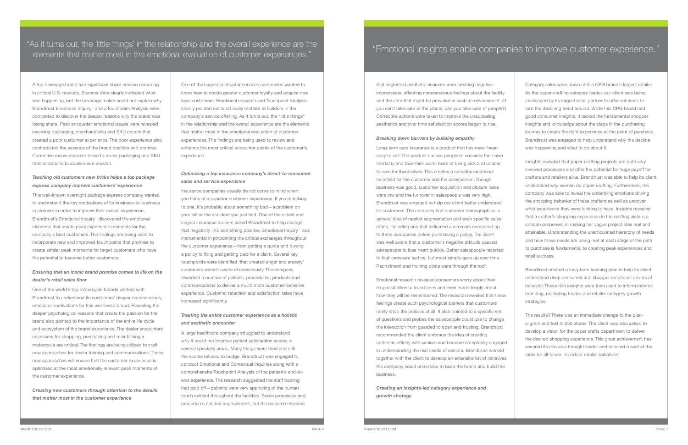A top beverage brand had significant share erosion occurring in critical U.S. markets. Scanner data clearly indicated what was happening, but the beverage maker could not explain why. Brandtrust Emotional Inquiry<sup>®</sup> and a Touchpoint Analysis were completed to discover the deeper reasons why the brand was losing share. Peak encounter emotional issues were revealed involving packaging, merchandising and SKU counts that created a poor customer experience. The poor experience also contradicted the essence of the brand position and promise. Corrective measures were taken to revise packaging and SKU rationalizations to abate share erosion.

#### *Teaching old customers new tricks helps a top package express company improve customers' experience*

This well-known overnight package express company wanted to understand the key motivations of its business-to-business customers in order to improve their overall experience. Brandtrust's Emotional Inquiry<sup>®</sup> discovered the emotional elements that create peak experience moments for the company's best customers. The findings are being used to incorporate new and improved touchpoints that promise to create similar peak moments for target customers who have the potential to become better customers.

#### *Ensuring that an iconic brand promise comes to life on the dealer's retail sales floor*

One of the world's top motorcycle brands worked with Brandtrust to understand its customers' deeper nonconscious, emotional motivations for this well-loved brand. Revealing the deeper psychological reasons that create the passion for the brand also pointed to the importance of the entire life cycle and ecosystem of the brand experience. The dealer encounters necessary for shopping, purchasing and maintaining a motorcycle are critical. The findings are being utilized to craft new approaches for dealer training and communications. These new approaches will ensure that the customer experience is optimized at the most emotionally relevant peak moments of the customer experience.

*Creating new customers through attention to the details that matter most in the customer experience*

One of the largest contractor services companies wanted to know how to create greater customer loyalty and acquire new loyal customers. Emotional research and Touchpoint Analysis clearly pointed out what really matters to builders in the company's service offering. As it turns out, the "little things" in the relationship and the overall experience are the elements that matter most in the emotional evaluation of customer experiences. The findings are being used to review and enhance the most critical encounter points of the customer's experience.

#### *Optimizing a top insurance company's direct-to-consumer sales and service experience*

Insurance companies usually do not come to mind when you think of a superior customer experience. If you're talking to one, it's probably about something bad—a problem on your bill or the accident you just had. One of the oldest and largest insurance carriers asked Brandtrust to help change that negativity into something positive. Emotional Inquiry® was instrumental in pinpointing the critical exchanges throughout the customer experience—from getting a quote and buying a policy to filing and getting paid for a claim. Several key touchpoints were identified 'that created angst and anxiety' customers weren't aware of consciously. The company reworked a number of policies, procedures, products and communications to deliver a much more customer-sensitive experience. Customer retention and satisfaction rates have increased significantly.

#### *Treating the entire customer experience as a holistic and aesthetic encounter*

A large healthcare company struggled to understand why it could not improve patient satisfaction scores in several specialty areas. Many things were tried and still the scores refused to budge. Brandtrust was engaged to conduct Emotional and Contextual Inquiries along with a comprehensive Touchpoint Analysis of the patient's end-toend experience. The research suggested the staff training had paid off—patients were very approving of the human touch evident throughout the facilities. Some processes and procedures needed improvement, but the research revealed

"As it turns out, the 'little things' in the relationship and the overall experience are the elements that matter most in the emotional evaluation of customer experiences." The companies of improve customer experience."

> that neglected aesthetic nuances were creating negative impressions, affecting nonconscious feelings about the facility and the care that might be provided in such an environment. (If you can't take care of the plants, can you take care of people?) Corrective actions were taken to improve the unappealing aesthetics and over time satisfaction scores began to rise.

#### *Breaking down barriers by building empathy*

Long-term care insurance is a product that has never been easy to sell. The product causes people to consider their own mortality and face their worst fears of being sick and unable to care for themselves. This creates a complex emotional minefield for the customer and the salesperson. Though business was good, customer acquisition and closure rates were low and the turnover in salespeople was very high. Brandtrust was engaged to help our client better understand its customers. The company had customer demographics, a general idea of market segmentation and even specific sales ratios, including one that indicated customers compared up to three companies before purchasing a policy. The client was well aware that a customer's negative attitude caused salespeople to lose heart quickly. Better salespeople resorted to high-pressure tactics, but most simply gave up over time. Recruitment and training costs were through the roof.

Emotional research revealed consumers worry about their responsibilities to loved ones and even more deeply about how they will be remembered. The research revealed that these feelings create such psychological barriers that customers rarely shop the policies at all. It also pointed to a specific set of questions and probes the salespeople could use to change the interaction from guarded to open and trusting. Brandtrust recommended the client embrace the idea of creating authentic affinity with seniors and become completely engaged in understanding the real needs of seniors. Brandtrust worked together with the client to develop an extensive list of initiatives the company could undertake to build the brand and build the business.

*Creating an insights-led category experience and growth strategy* 

Category sales were down at this CPG brand's largest retailer. As the paper-crafting category leader, our client was being challenged by its largest retail partner to offer solutions to turn the declining trend around. While this CPG brand had good consumer insights, it lacked the fundamental shopper insights and knowledge about the steps in the purchasing journey to create the right experience at the point of purchase. Brandtrust was engaged to help understand why the decline was happening and what to do about it.

Insights revealed that paper-crafting projects are both very involved processes and offer the potential for huge payoff for crafters and retailers alike. Brandtrust was able to help its client understand why women do paper crafting. Furthermore, the company was able to reveal the underlying emotions driving the shopping behavior of these crafters as well as uncover what experience they were looking to have. Insights revealed that a crafter's shopping experience in the crafting aisle is a critical component in making her vague project idea real and attainable. Understanding the unarticulated hierarchy of needs and how these needs are being met at each stage of the path to purchase is fundamental to creating peak experiences and retail success.

Brandtrust created a long-term learning plan to help its client understand deep consumer and shopper emotional drivers of behavior. These rich insights were then used to inform internal branding, marketing tactics and retailer category growth strategies.

The results? There was an immediate change to the plano-gram and test in 250 stores. The client was also asked to develop a vision for the paper crafts department to deliver the desired shopping experience. This great achievement has secured its role as a thought leader and ensured a seat at the table for all future important retailer initiatives.